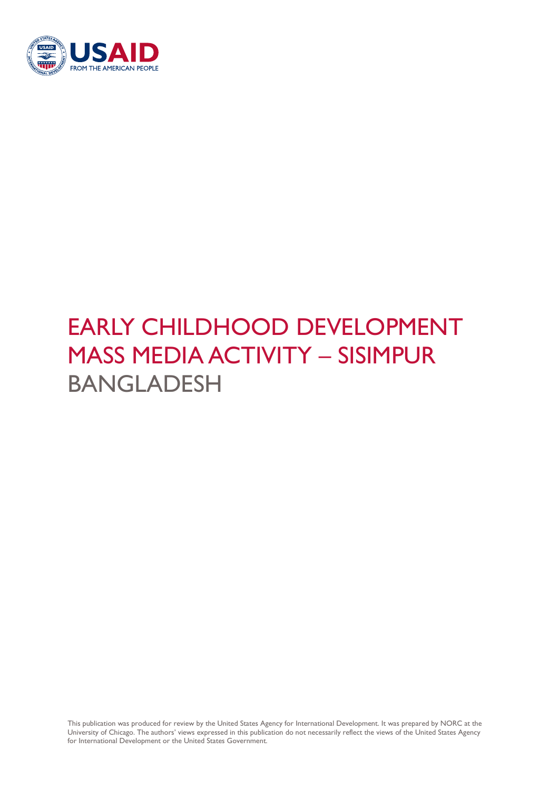

# EARLY CHILDHOOD DEVELOPMENT MASS MEDIA ACTIVITY – SISIMPUR BANGLADESH

This publication was produced for review by the United States Agency for International Development. It was prepared by NORC at the University of Chicago. The authors' views expressed in this publication do not necessarily reflect the views of the United States Agency for International Development or the United States Government.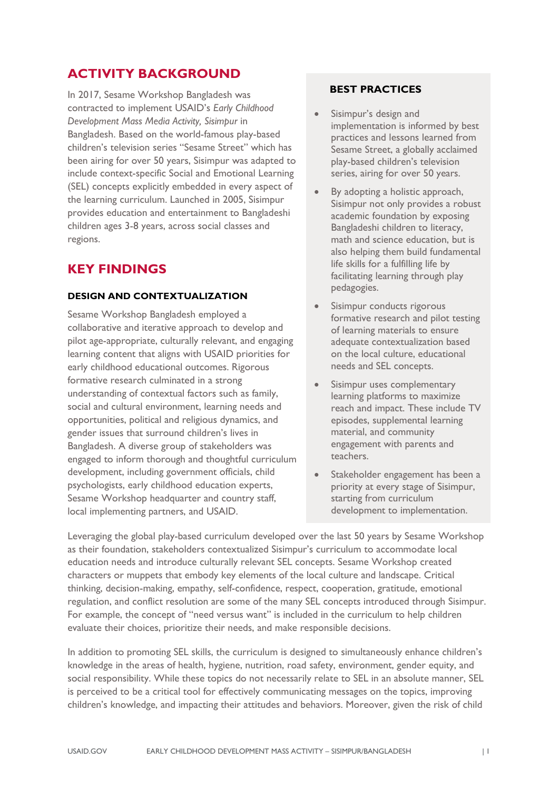## **ACTIVITY BACKGROUND**

In 2017, Sesame Workshop Bangladesh was contracted to implement USAID's *Early Childhood Development Mass Media Activity, Sisimpur* in Bangladesh. Based on the world-famous play-based children's television series "Sesame Street" which has been airing for over 50 years, Sisimpur was adapted to include context-specific Social and Emotional Learning (SEL) concepts explicitly embedded in every aspect of the learning curriculum. Launched in 2005, Sisimpur provides education and entertainment to Bangladeshi children ages 3-8 years, across social classes and regions.

## **KEY FINDINGS**

#### **DESIGN AND CONTEXTUALIZATION**

Sesame Workshop Bangladesh employed a collaborative and iterative approach to develop and pilot age-appropriate, culturally relevant, and engaging learning content that aligns with USAID priorities for early childhood educational outcomes. Rigorous formative research culminated in a strong understanding of contextual factors such as family, social and cultural environment, learning needs and opportunities, political and religious dynamics, and gender issues that surround children's lives in Bangladesh. A diverse group of stakeholders was engaged to inform thorough and thoughtful curriculum development, including government officials, child psychologists, early childhood education experts, Sesame Workshop headquarter and country staff, local implementing partners, and USAID.

### **BEST PRACTICES**

- Sisimpur's design and implementation is informed by best practices and lessons learned from Sesame Street, a globally acclaimed play-based children's television series, airing for over 50 years.
- By adopting a holistic approach, Sisimpur not only provides a robust academic foundation by exposing Bangladeshi children to literacy, math and science education, but is also helping them build fundamental life skills for a fulfilling life by facilitating learning through play pedagogies.
- Sisimpur conducts rigorous formative research and pilot testing of learning materials to ensure adequate contextualization based on the local culture, educational needs and SEL concepts.
- Sisimpur uses complementary learning platforms to maximize reach and impact. These include TV episodes, supplemental learning material, and community engagement with parents and teachers.
- Stakeholder engagement has been a priority at every stage of Sisimpur, starting from curriculum development to implementation.

Leveraging the global play-based curriculum developed over the last 50 years by Sesame Workshop as their foundation, stakeholders contextualized Sisimpur's curriculum to accommodate local education needs and introduce culturally relevant SEL concepts. Sesame Workshop created characters or muppets that embody key elements of the local culture and landscape. Critical thinking, decision-making, empathy, self-confidence, respect, cooperation, gratitude, emotional regulation, and conflict resolution are some of the many SEL concepts introduced through Sisimpur. For example, the concept of "need versus want" is included in the curriculum to help children evaluate their choices, prioritize their needs, and make responsible decisions.

In addition to promoting SEL skills, the curriculum is designed to simultaneously enhance children's knowledge in the areas of health, hygiene, nutrition, road safety, environment, gender equity, and social responsibility. While these topics do not necessarily relate to SEL in an absolute manner, SEL is perceived to be a critical tool for effectively communicating messages on the topics, improving children's knowledge, and impacting their attitudes and behaviors. Moreover, given the risk of child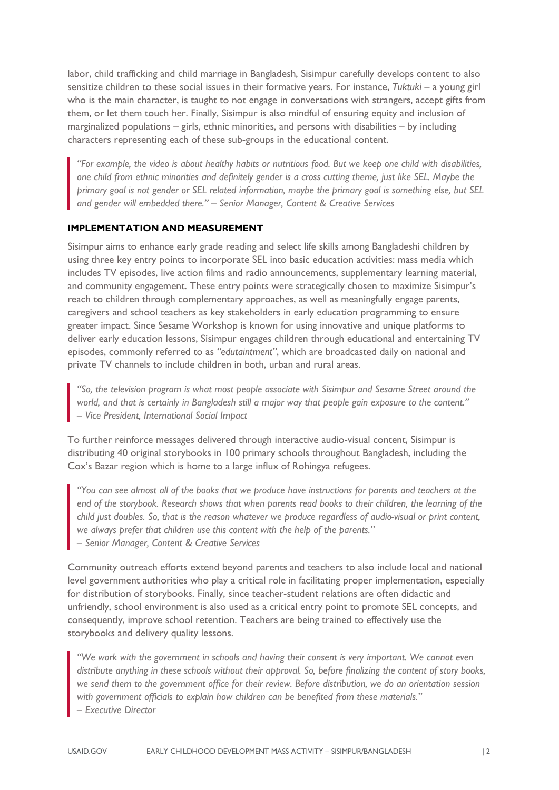labor, child trafficking and child marriage in Bangladesh, Sisimpur carefully develops content to also sensitize children to these social issues in their formative years. For instance, *Tuktuki* – a young girl who is the main character, is taught to not engage in conversations with strangers, accept gifts from them, or let them touch her. Finally, Sisimpur is also mindful of ensuring equity and inclusion of marginalized populations  $-$  girls, ethnic minorities, and persons with disabilities  $-$  by including characters representing each of these sub-groups in the educational content.

*"For example, the video is about healthy habits or nutritious food. But we keep one child with disabilities, one child from ethnic minorities and definitely gender is a cross cutting theme, just like SEL. Maybe the primary goal is not gender or SEL related information, maybe the primary goal is something else, but SEL and gender will embedded there." – Senior Manager, Content & Creative Services*

#### **IMPLEMENTATION AND MEASUREMENT**

Sisimpur aims to enhance early grade reading and select life skills among Bangladeshi children by using three key entry points to incorporate SEL into basic education activities: mass media which includes TV episodes, live action films and radio announcements, supplementary learning material, and community engagement. These entry points were strategically chosen to maximize Sisimpur's reach to children through complementary approaches, as well as meaningfully engage parents, caregivers and school teachers as key stakeholders in early education programming to ensure greater impact. Since Sesame Workshop is known for using innovative and unique platforms to deliver early education lessons, Sisimpur engages children through educational and entertaining TV episodes, commonly referred to as *"edutaintment"*, which are broadcasted daily on national and private TV channels to include children in both, urban and rural areas.

*"So, the television program is what most people associate with Sisimpur and Sesame Street around the world, and that is certainly in Bangladesh still a major way that people gain exposure to the content." – Vice President, International Social Impact*

To further reinforce messages delivered through interactive audio-visual content, Sisimpur is distributing 40 original storybooks in 100 primary schools throughout Bangladesh, including the Cox's Bazar region which is home to a large influx of Rohingya refugees.

*"You can see almost all of the books that we produce have instructions for parents and teachers at the end of the storybook. Research shows that when parents read books to their children, the learning of the child just doubles. So, that is the reason whatever we produce regardless of audio-visual or print content, we always prefer that children use this content with the help of the parents." – Senior Manager, Content & Creative Services*

Community outreach efforts extend beyond parents and teachers to also include local and national level government authorities who play a critical role in facilitating proper implementation, especially for distribution of storybooks. Finally, since teacher-student relations are often didactic and unfriendly, school environment is also used as a critical entry point to promote SEL concepts, and consequently, improve school retention. Teachers are being trained to effectively use the storybooks and delivery quality lessons.

*"We work with the government in schools and having their consent is very important. We cannot even distribute anything in these schools without their approval. So, before finalizing the content of story books, we send them to the government office for their review. Before distribution, we do an orientation session with government officials to explain how children can be benefited from these materials."* 

*– Executive Director*